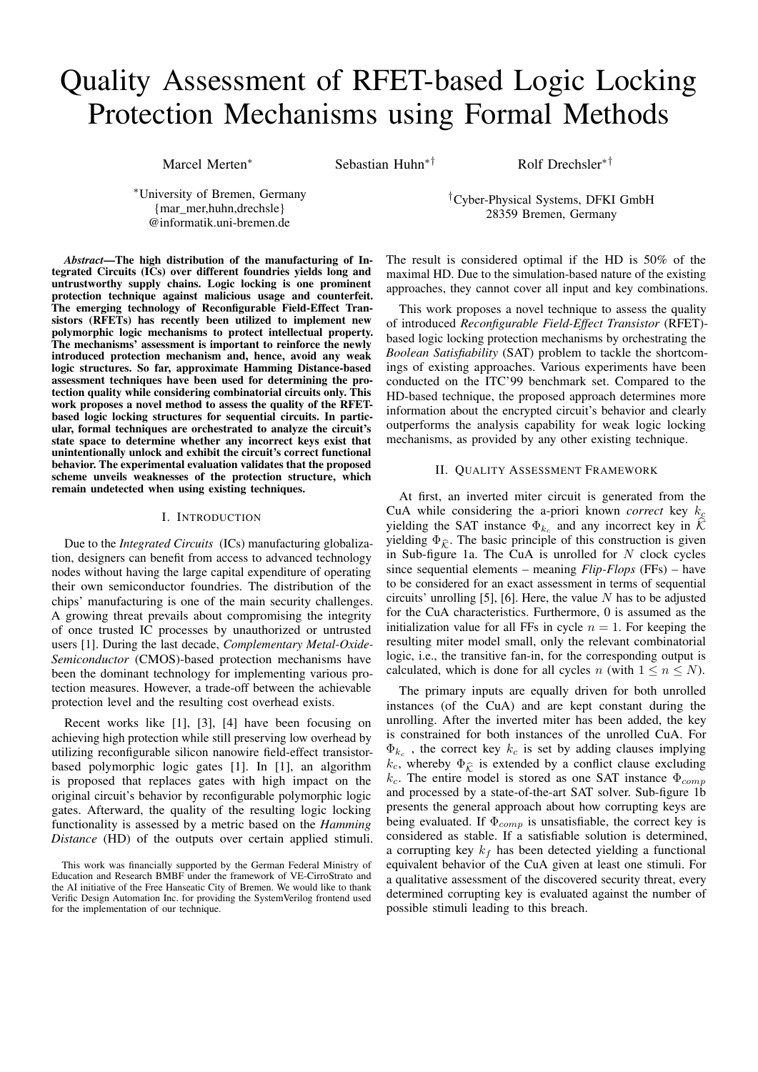# Quality Assessment of RFET-based Logic Locking Protection Mechanisms using Formal Methods

Marcel Merten<sup>∗</sup> Sebastian Huhn∗† Rolf Drechsler∗†

<sup>∗</sup>University of Bremen, Germany {mar\_mer,huhn,drechsle} @informatik.uni-bremen.de

†Cyber-Physical Systems, DFKI GmbH 28359 Bremen, Germany

*Abstract*—The high distribution of the manufacturing of Integrated Circuits (ICs) over different foundries yields long and untrustworthy supply chains. Logic locking is one prominent protection technique against malicious usage and counterfeit. The emerging technology of Reconfigurable Field-Effect Transistors (RFETs) has recently been utilized to implement new polymorphic logic mechanisms to protect intellectual property. The mechanisms' assessment is important to reinforce the newly introduced protection mechanism and, hence, avoid any weak logic structures. So far, approximate Hamming Distance-based assessment techniques have been used for determining the protection quality while considering combinatorial circuits only. This work proposes a novel method to assess the quality of the RFETbased logic locking structures for sequential circuits. In particular, formal techniques are orchestrated to analyze the circuit's state space to determine whether any incorrect keys exist that unintentionally unlock and exhibit the circuit's correct functional behavior. The experimental evaluation validates that the proposed scheme unveils weaknesses of the protection structure, which remain undetected when using existing techniques.

### I. INTRODUCTION

Due to the *Integrated Circuits* (ICs) manufacturing globalization, designers can benefit from access to advanced technology nodes without having the large capital expenditure of operating their own semiconductor foundries. The distribution of the chips' manufacturing is one of the main security challenges. A growing threat prevails about compromising the integrity of once trusted IC processes by unauthorized or untrusted users [1]. During the last decade, *Complementary Metal-Oxide-Semiconductor* (CMOS)-based protection mechanisms have been the dominant technology for implementing various protection measures. However, a trade-off between the achievable protection level and the resulting cost overhead exists.

Recent works like [1], [3], [4] have been focusing on achieving high protection while still preserving low overhead by utilizing reconfigurable silicon nanowire field-effect transistorbased polymorphic logic gates [1]. In [1], an algorithm is proposed that replaces gates with high impact on the original circuit's behavior by reconfigurable polymorphic logic gates. Afterward, the quality of the resulting logic locking functionality is assessed by a metric based on the *Hamming Distance* (HD) of the outputs over certain applied stimuli.

The result is considered optimal if the HD is 50% of the maximal HD. Due to the simulation-based nature of the existing approaches, they cannot cover all input and key combinations.

This work proposes a novel technique to assess the quality of introduced *Reconfigurable Field-Effect Transistor* (RFET) based logic locking protection mechanisms by orchestrating the *Boolean Satisfiability* (SAT) problem to tackle the shortcomings of existing approaches. Various experiments have been conducted on the ITC'99 benchmark set. Compared to the HD-based technique, the proposed approach determines more information about the encrypted circuit's behavior and clearly outperforms the analysis capability for weak logic locking mechanisms, as provided by any other existing technique.

## II. QUALITY ASSESSMENT FRAMEWORK

At first, an inverted miter circuit is generated from the CuA while considering the a-priori known *correct* key  $k_c$ yielding the SAT instance  $\Phi_{k_c}$  and any incorrect key in K yielding  $\Phi_{\hat{\kappa}}$ . The basic principle of this construction is given in Sub-figure 1a. The CuA is unrolled for  $N$  clock cycles since sequential elements – meaning *Flip-Flops* (FFs) – have to be considered for an exact assessment in terms of sequential circuits' unrolling [5], [6]. Here, the value  $N$  has to be adjusted for the CuA characteristics. Furthermore, 0 is assumed as the initialization value for all FFs in cycle  $n = 1$ . For keeping the resulting miter model small, only the relevant combinatorial logic, i.e., the transitive fan-in, for the corresponding output is calculated, which is done for all cycles n (with  $1 \le n \le N$ ).

The primary inputs are equally driven for both unrolled instances (of the CuA) and are kept constant during the unrolling. After the inverted miter has been added, the key is constrained for both instances of the unrolled CuA. For  $\Phi_{k_c}$ , the correct key  $k_c$  is set by adding clauses implying  $k_c$ , whereby  $\Phi_{\hat{\mathcal{K}}}$  is extended by a conflict clause excluding  $k_c$ . The entire model is stored as one SAT instance  $\Phi_{comp}$ and processed by a state-of-the-art SAT solver. Sub-figure 1b presents the general approach about how corrupting keys are being evaluated. If  $\Phi_{comp}$  is unsatisfiable, the correct key is considered as stable. If a satisfiable solution is determined, a corrupting key  $k_f$  has been detected yielding a functional equivalent behavior of the CuA given at least one stimuli. For a qualitative assessment of the discovered security threat, every determined corrupting key is evaluated against the number of possible stimuli leading to this breach.

This work was financially supported by the German Federal Ministry of Education and Research BMBF under the framework of VE-CirroStrato and the AI initiative of the Free Hanseatic City of Bremen. We would like to thank Verific Design Automation Inc. for providing the SystemVerilog frontend used for the implementation of our technique.